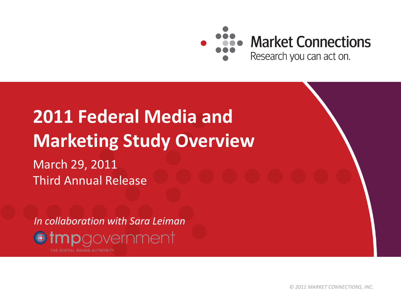

# **2011 Federal Media and Marketing Study Overview**

March 29, 2011 Third Annual Release

*In collaboration with Sara Leiman*npgovernment

*© 2011 MARKET CONNECTIONS, INC.*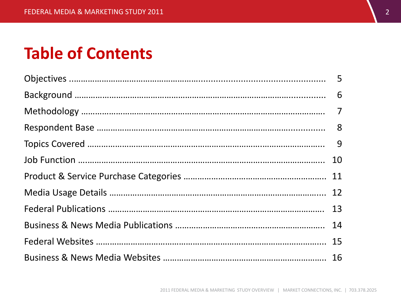### **Table of Contents**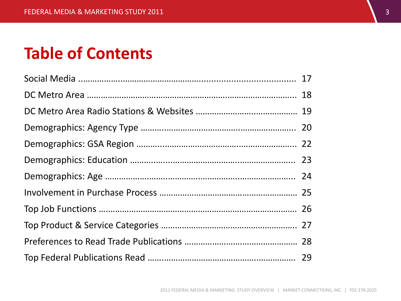### **Table of Contents**

| 24 |
|----|
|    |
|    |
|    |
|    |
|    |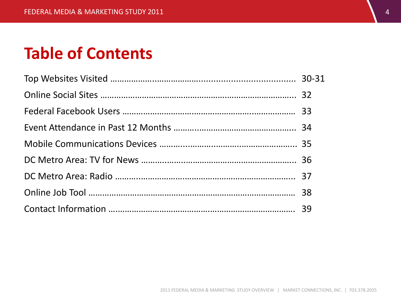### **Table of Contents**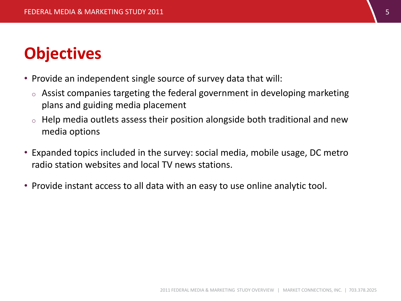### **Objectives**

- Provide an independent single source of survey data that will:
	- $\circ$  Assist companies targeting the federal government in developing marketing plans and guiding media placement
	- $\circ$  Help media outlets assess their position alongside both traditional and new media options
- Expanded topics included in the survey: social media, mobile usage, DC metro radio station websites and local TV news stations.
- Provide instant access to all data with an easy to use online analytic tool.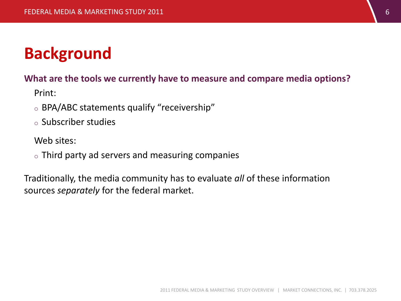### **Background**

#### **What are the tools we currently have to measure and compare media options?**

Print:

- <sup>o</sup> BPA/ABC statements qualify "receivership"
- <sup>o</sup> Subscriber studies

Web sites:

 $\circ$  Third party ad servers and measuring companies

Traditionally, the media community has to evaluate *all* of these information sources *separately* for the federal market.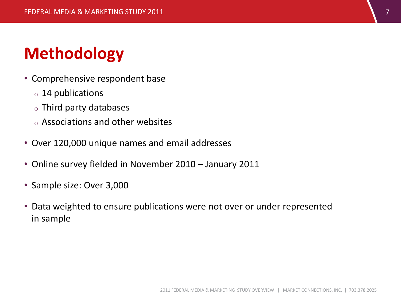## **Methodology**

- Comprehensive respondent base
	- <sup>o</sup> 14 publications
	- <sup>o</sup> Third party databases
	- <sup>o</sup> Associations and other websites
- Over 120,000 unique names and email addresses
- Online survey fielded in November 2010 January 2011
- Sample size: Over 3,000
- Data weighted to ensure publications were not over or under represented in sample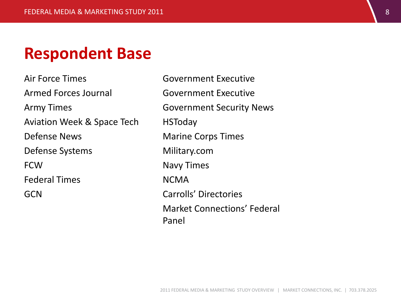#### **Respondent Base**

Air Force Times Armed Forces Journal Army Times Aviation Week & Space Tech Defense News Defense Systems **FCW** Federal Times **GCN** 

Government Executive Government Executive Government Security News **HSToday** Marine Corps Times Military.com Navy Times NCMA Carrolls' Directories Market Connections' Federal Panel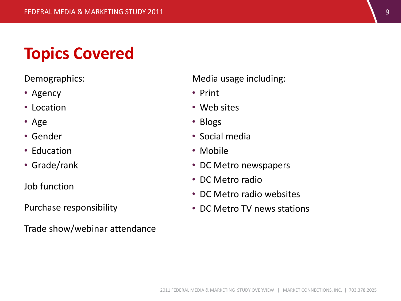### **Topics Covered**

Demographics:

- Agency
- Location
- Age
- Gender
- Education
- Grade/rank

Job function

Purchase responsibility

Trade show/webinar attendance

Media usage including:

- Print
- Web sites
- Blogs
- Social media
- Mobile
- DC Metro newspapers
- DC Metro radio
- DC Metro radio websites
- DC Metro TV news stations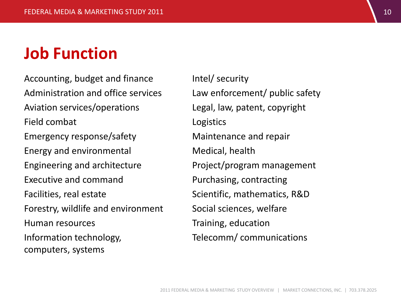#### **Job Function**

Accounting, budget and finance Administration and office services Aviation services/operations Field combat Emergency response/safety Energy and environmental Engineering and architecture Executive and command Facilities, real estate Forestry, wildlife and environment Human resources Information technology, computers, systems

Intel/ security Law enforcement/ public safety Legal, law, patent, copyright Logistics Maintenance and repair Medical, health Project/program management Purchasing, contracting Scientific, mathematics, R&D Social sciences, welfare Training, education Telecomm/ communications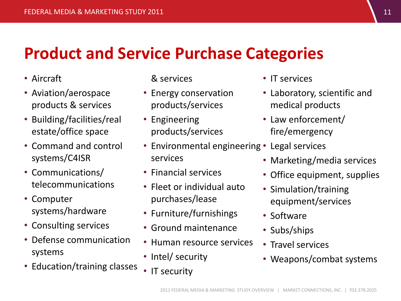### **Product and Service Purchase Categories**

- Aircraft
- Aviation/aerospace products & services
- Building/facilities/real estate/office space
- Command and control systems/C4ISR
- Communications/ telecommunications
- Computer systems/hardware
- Consulting services
- Defense communication systems
- Education/training classes

& services

- Energy conservation products/services
- Engineering products/services
- Environmental engineering Legal services services
- Financial services
- Fleet or individual auto purchases/lease
- Furniture/furnishings
- Ground maintenance
- Human resource services
- Intel/ security
- IT security
- IT services
- Laboratory, scientific and medical products
- Law enforcement/ fire/emergency
- - Marketing/media services
	- Office equipment, supplies
	- Simulation/training equipment/services
	- Software
	- Subs/ships
	- Travel services
	- Weapons/combat systems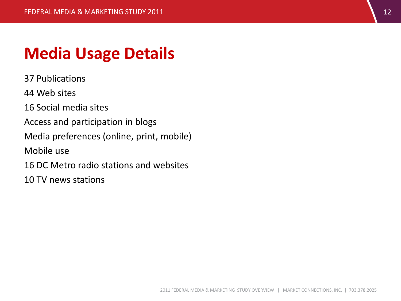#### **Media Usage Details**

37 Publications

44 Web sites

16 Social media sites

Access and participation in blogs

Media preferences (online, print, mobile)

Mobile use

16 DC Metro radio stations and websites

10 TV news stations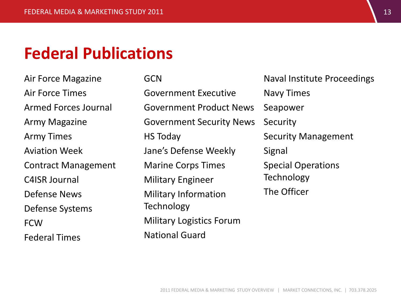#### **Federal Publications**

Air Force Magazine Air Force Times Armed Forces Journal Army Magazine Army Times Aviation Week Contract Management C4ISR Journal Defense News Defense Systems **FCW** Federal Times

**GCN** Government Executive Government Product News Government Security News HS Today Jane's Defense Weekly Marine Corps Times Military Engineer Military Information Technology Military Logistics Forum National Guard

Naval Institute Proceedings Navy Times Seapower **Security** Security Management Signal Special Operations Technology The Officer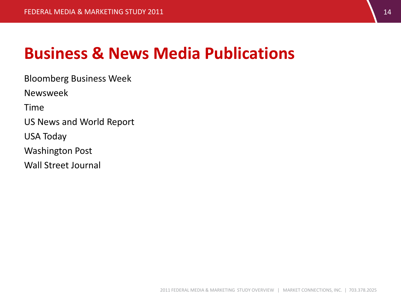#### **Business & News Media Publications**

Bloomberg Business Week

Newsweek

Time

US News and World Report

USA Today

Washington Post

Wall Street Journal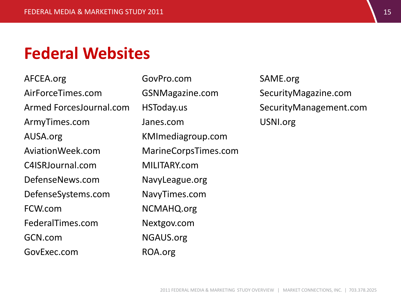#### **Federal Websites**

AFCEA.org AirForceTimes.com Armed ForcesJournal.com ArmyTimes.com AUSA.org AviationWeek.com C4ISRJournal.com DefenseNews.com DefenseSystems.com FCW.com FederalTimes.com GCN.com GovExec.com

GovPro.com GSNMagazine.com HSToday.us Janes.com KMImediagroup.com MarineCorpsTimes.com MILITARY.com NavyLeague.org NavyTimes.com NCMAHQ.org Nextgov.com NGAUS.org ROA.org

SAME.org SecurityMagazine.com SecurityManagement.com USNI.org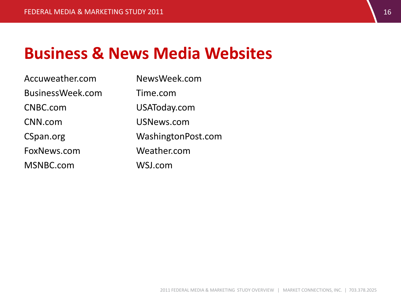#### **Business & News Media Websites**

| Accuweather.com  | NewsWeek.com       |
|------------------|--------------------|
| BusinessWeek.com | Time.com           |
| CNBC.com         | USAToday.com       |
| CNN.com          | USNews.com         |
| CSpan.org        | WashingtonPost.com |
| FoxNews.com      | Weather.com        |
| MSNBC.com        | WSJ.com            |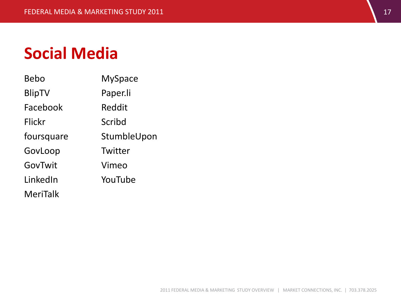#### **Social Media**

| Bebo          | <b>MySpace</b> |
|---------------|----------------|
| <b>BlipTV</b> | Paper.li       |
| Facebook      | Reddit         |
| Flickr        | Scribd         |
| foursquare    | StumbleUpon    |
| GovLoop       | Twitter        |
| GovTwit       | Vimeo          |
| LinkedIn      | YouTube        |
| MeriTalk      |                |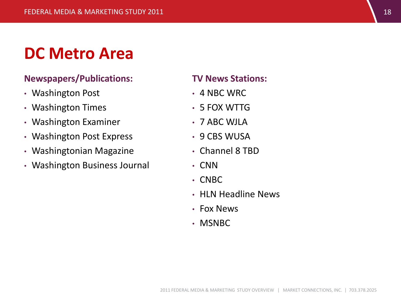#### **DC Metro Area**

#### **Newspapers/Publications:**

- Washington Post
- Washington Times
- Washington Examiner
- Washington Post Express
- Washingtonian Magazine
- Washington Business Journal

#### **TV News Stations:**

- 4 NBC WRC
- 5 FOX WTTG
- 7 ABC WJLA
- 9 CBS WUSA
- Channel 8 TBD
- CNN
- CNBC
- HLN Headline News
- Fox News
- MSNBC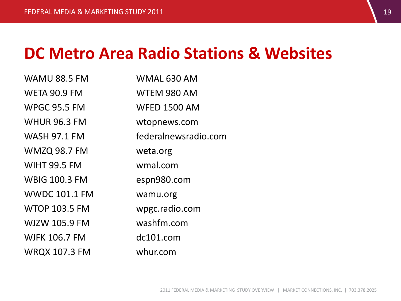#### **DC Metro Area Radio Stations & Websites**

| <b>WAMU 88.5 FM</b>  | WMAL 630 AM          |
|----------------------|----------------------|
| <b>WETA 90.9 FM</b>  | WTEM 980 AM          |
| <b>WPGC 95.5 FM</b>  | <b>WFED 1500 AM</b>  |
| <b>WHUR 96.3 FM</b>  | wtopnews.com         |
| <b>WASH 97.1 FM</b>  | federalnewsradio.com |
| <b>WMZQ 98.7 FM</b>  | weta.org             |
| <b>WIHT 99.5 FM</b>  | wmal.com             |
| <b>WBIG 100.3 FM</b> | espn980.com          |
| <b>WWDC 101.1 FM</b> | wamu.org             |
| <b>WTOP 103.5 FM</b> | wpgc.radio.com       |
| <b>WJZW 105.9 FM</b> | washfm.com           |
| <b>WJFK 106.7 FM</b> | dc101.com            |
| <b>WRQX 107.3 FM</b> | whur.com             |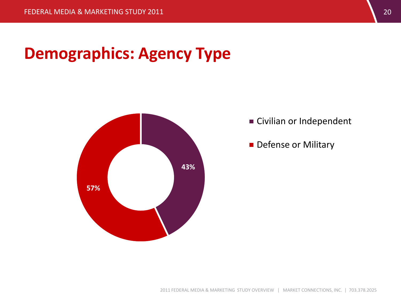### **Demographics: Agency Type**



**Civilian or Independent** 

Defense or Military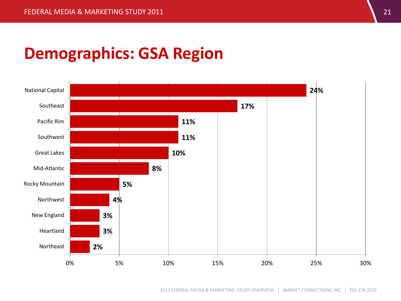### **Demographics: GSA Region**

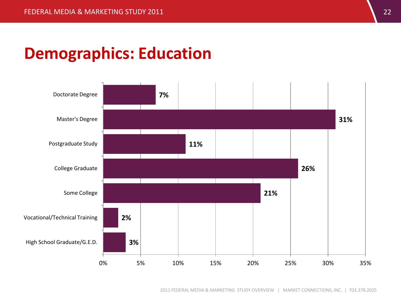#### **Demographics: Education**

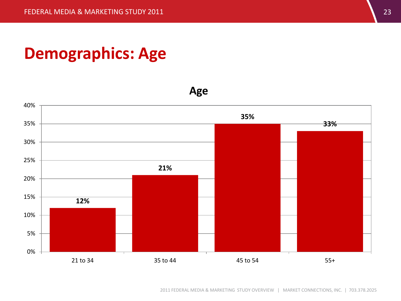#### **Demographics: Age**

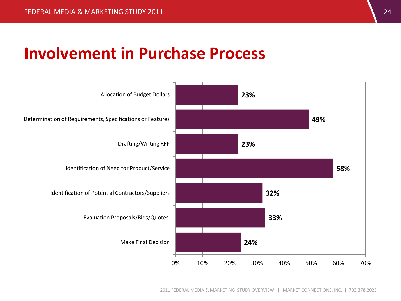#### **Involvement in Purchase Process**

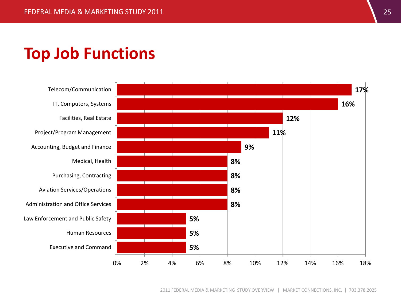#### **Top Job Functions**

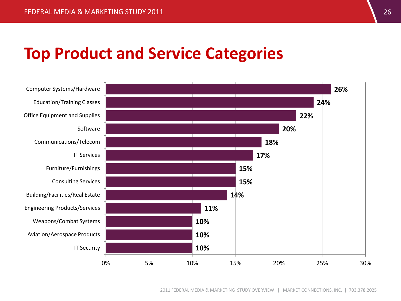#### **Top Product and Service Categories**

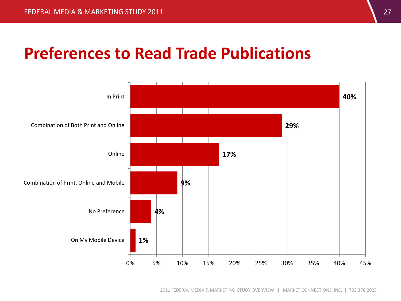#### **Preferences to Read Trade Publications**

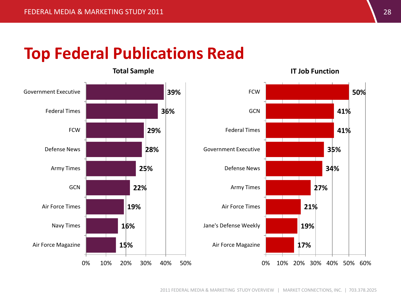#### **Top Federal Publications Read**

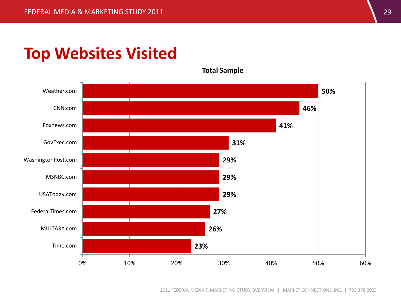#### **Top Websites Visited**

**Total Sample**



2011 FEDERAL MEDIA & MARKETING STUDY OVERVIEW | MARKET CONNECTIONS, INC. | 703.378.2025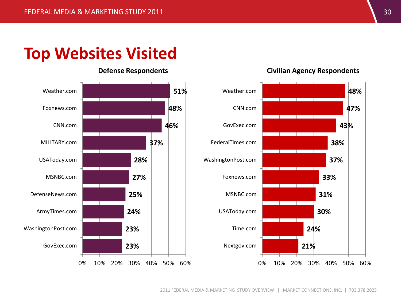#### **Top Websites Visited**





#### **Defense Respondents Civilian Agency Respondents**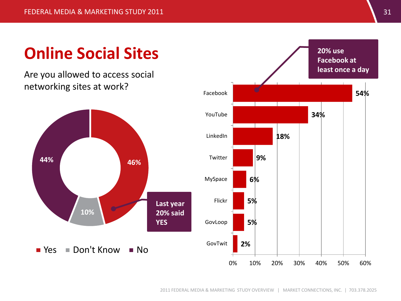### **Online Social Sites**

Are you allowed to access social networking sites at work?



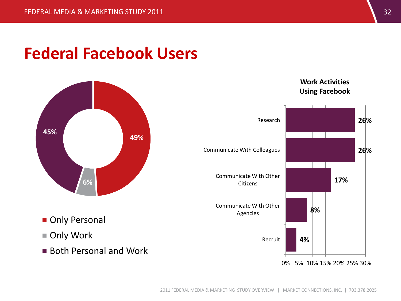#### **Federal Facebook Users**



- **Only Personal**
- Only Work
- Both Personal and Work



0% 5% 10% 15% 20% 25% 30%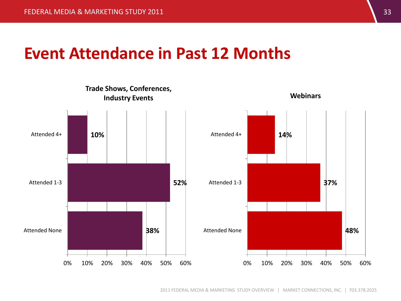#### **Event Attendance in Past 12 Months**

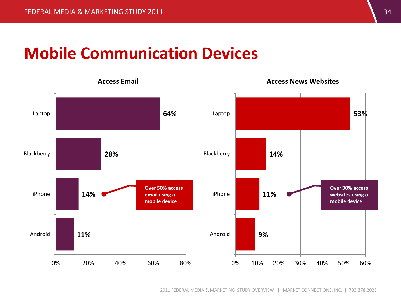#### **Mobile Communication Devices**



**Access Email Access News Websites**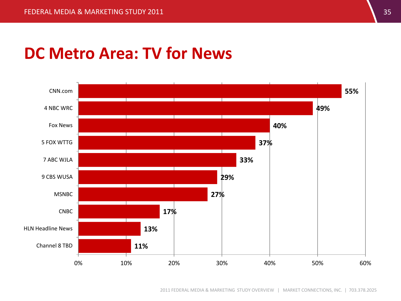#### **DC Metro Area: TV for News**

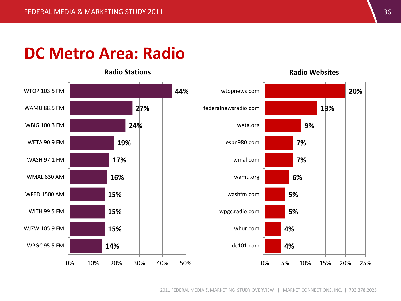#### **DC Metro Area: Radio**

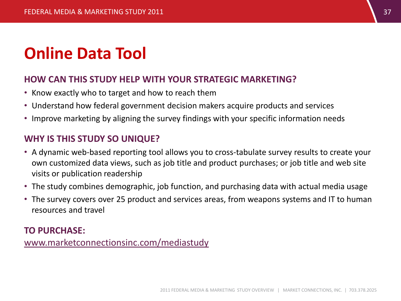### **Online Data Tool**

#### **HOW CAN THIS STUDY HELP WITH YOUR STRATEGIC MARKETING?**

- Know exactly who to target and how to reach them
- Understand how federal government decision makers acquire products and services
- Improve marketing by aligning the survey findings with your specific information needs

#### **WHY IS THIS STUDY SO UNIQUE?**

- A dynamic web-based reporting tool allows you to cross-tabulate survey results to create your own customized data views, such as job title and product purchases; or job title and web site visits or publication readership
- The study combines demographic, job function, and purchasing data with actual media usage
- The survey covers over 25 product and services areas, from weapons systems and IT to human resources and travel

#### **TO PURCHASE:**

[www.marketconnectionsinc.com/mediastudy](http://www.marketconnectionsinc.com/mediastudy)